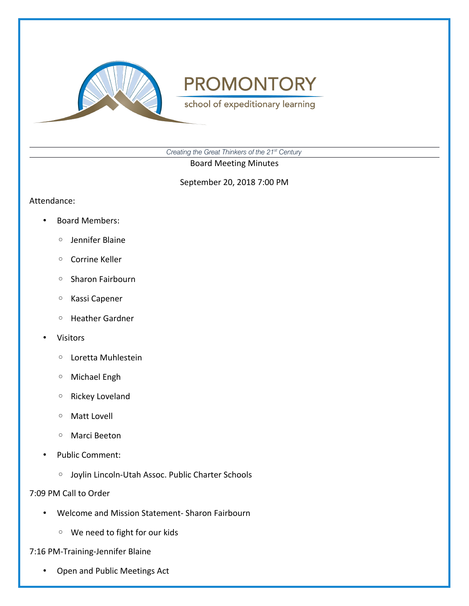

school of expeditionary learning

*Creating the Great Thinkers of the 21st Century*

Board Meeting Minutes

September 20, 2018 7:00 PM

Attendance:

- Board Members:
	- Jennifer Blaine
	- Corrine Keller
	- Sharon Fairbourn
	- Kassi Capener
	- Heather Gardner
- Visitors
	- Loretta Muhlestein
	- Michael Engh
	- Rickey Loveland
	- Matt Lovell
	- Marci Beeton
- Public Comment:
	- Joylin Lincoln-Utah Assoc. Public Charter Schools

7:09 PM Call to Order

- Welcome and Mission Statement- Sharon Fairbourn
	- We need to fight for our kids

7:16 PM-Training-Jennifer Blaine

• Open and Public Meetings Act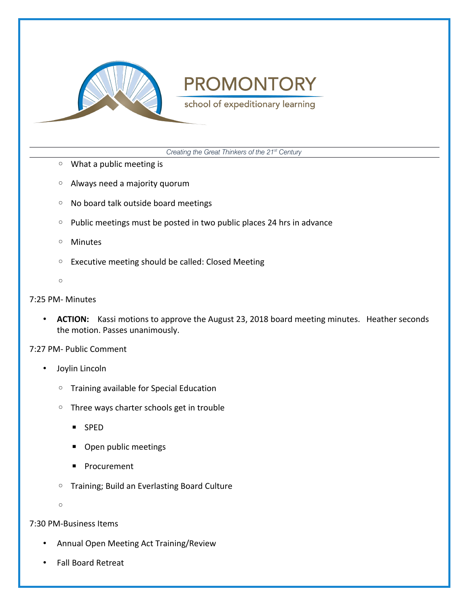

school of expeditionary learning

*Creating the Great Thinkers of the 21st Century*

- What a public meeting is
- Always need a majority quorum
- No board talk outside board meetings
- Public meetings must be posted in two public places 24 hrs in advance
- Minutes
- Executive meeting should be called: Closed Meeting
- $\circ$

### 7:25 PM- Minutes

• **ACTION:** Kassi motions to approve the August 23, 2018 board meeting minutes. Heather seconds the motion. Passes unanimously.

7:27 PM- Public Comment

- Joylin Lincoln
	- Training available for Special Education
	- Three ways charter schools get in trouble
		- SPED
		- Open public meetings
		- Procurement
	- Training; Build an Everlasting Board Culture

 $\circ$ 

7:30 PM-Business Items

- Annual Open Meeting Act Training/Review
- Fall Board Retreat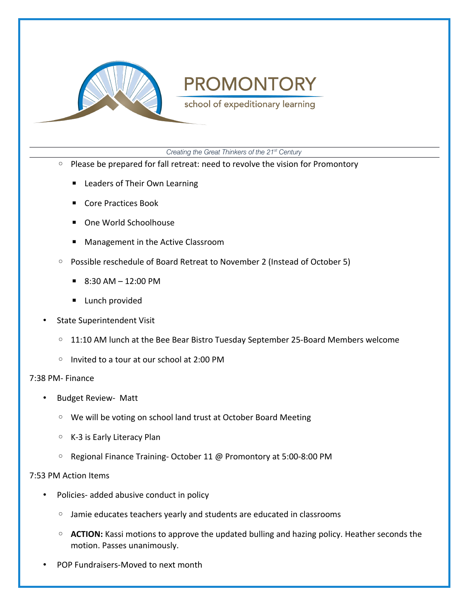

school of expeditionary learning

*Creating the Great Thinkers of the 21st Century*

- Please be prepared for fall retreat: need to revolve the vision for Promontory
	- Leaders of Their Own Learning
	- Core Practices Book
	- One World Schoolhouse
	- Management in the Active Classroom
- Possible reschedule of Board Retreat to November 2 (Instead of October 5)
	- $\blacksquare$  8:30 AM 12:00 PM
	- Lunch provided
- State Superintendent Visit
	- 11:10 AM lunch at the Bee Bear Bistro Tuesday September 25-Board Members welcome
	- Invited to a tour at our school at 2:00 PM

#### 7:38 PM- Finance

- Budget Review- Matt
	- We will be voting on school land trust at October Board Meeting
	- K-3 is Early Literacy Plan
	- Regional Finance Training- October 11 @ Promontory at 5:00-8:00 PM

### 7:53 PM Action Items

- Policies- added abusive conduct in policy
	- Jamie educates teachers yearly and students are educated in classrooms
	- **ACTION:** Kassi motions to approve the updated bulling and hazing policy. Heather seconds the motion. Passes unanimously.
- POP Fundraisers-Moved to next month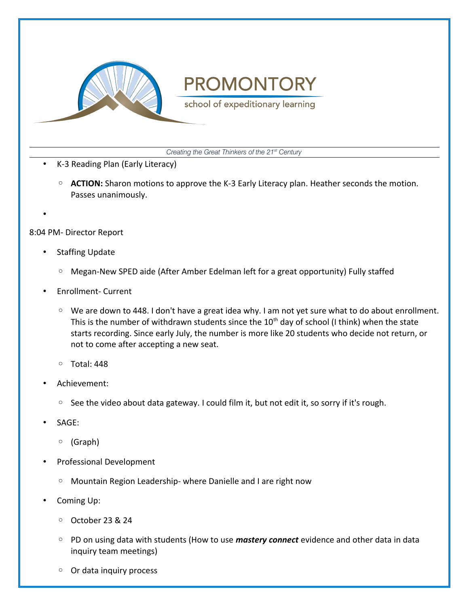

school of expeditionary learning

*Creating the Great Thinkers of the 21st Century*

- K-3 Reading Plan (Early Literacy)
	- **ACTION:** Sharon motions to approve the K-3 Early Literacy plan. Heather seconds the motion. Passes unanimously.
- •

8:04 PM- Director Report

- **Staffing Update** 
	- Megan-New SPED aide (After Amber Edelman left for a great opportunity) Fully staffed
- Enrollment- Current
	- We are down to 448. I don't have a great idea why. I am not yet sure what to do about enrollment. This is the number of withdrawn students since the  $10<sup>th</sup>$  day of school (I think) when the state starts recording. Since early July, the number is more like 20 students who decide not return, or not to come after accepting a new seat.
	- Total: 448
- Achievement:
	- See the video about data gateway. I could film it, but not edit it, so sorry if it's rough.
- SAGE:
	- (Graph)
- Professional Development
	- Mountain Region Leadership- where Danielle and I are right now
- Coming Up:
	- October 23 & 24
	- PD on using data with students (How to use *mastery connect* evidence and other data in data inquiry team meetings)
	- Or data inquiry process